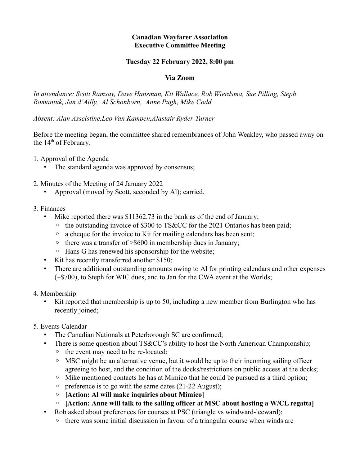## **Canadian Wayfarer Association Executive Committee Meeting**

## **Tuesday 22 February 2022, 8:00 pm**

## **Via Zoom**

*In attendance: Scott Ramsay, Dave Hansman, Kit Wallace, Rob Wierdsma, Sue Pilling, Steph Romaniuk, Jan d'Ailly, Al Schonborn, Anne Pugh, Mike Codd*

*Absent: Alan Asselstine,Leo Van Kampen,Alastair Ryder-Turner*

Before the meeting began, the committee shared remembrances of John Weakley, who passed away on the  $14<sup>th</sup>$  of February.

1. Approval of the Agenda

- The standard agenda was approved by consensus;
- 2. Minutes of the Meeting of 24 January 2022
	- Approval (moved by Scott, seconded by Al); carried.

## 3. Finances

- Mike reported there was \$11362.73 in the bank as of the end of January;
	- the outstanding invoice of \$300 to TS&CC for the 2021 Ontarios has been paid;
	- a cheque for the invoice to Kit for mailing calendars has been sent;
	- there was a transfer of >\$600 in membership dues in January;
	- Hans G has renewed his sponsorship for the website;
- Kit has recently transferred another \$150;
- There are additional outstanding amounts owing to Al for printing calendars and other expenses (~\$700), to Steph for WIC dues, and to Jan for the CWA event at the Worlds;
- 4. Membership
	- Kit reported that membership is up to 50, including a new member from Burlington who has recently joined;
- 5. Events Calendar
	- The Canadian Nationals at Peterborough SC are confirmed;
	- There is some question about TS&CC's ability to host the North American Championship;
		- the event may need to be re-located;
		- MSC might be an alternative venue, but it would be up to their incoming sailing officer agreeing to host, and the condition of the docks/restrictions on public access at the docks;
		- Mike mentioned contacts he has at Mimico that he could be pursued as a third option;
		- preference is to go with the same dates (21-22 August);
		- **[Action: Al will make inquiries about Mimico]**
		- **[Action: Anne will talk to the sailing officer at MSC about hosting a W/CL regatta]**
	- Rob asked about preferences for courses at PSC (triangle vs windward-leeward);
		- there was some initial discussion in favour of a triangular course when winds are